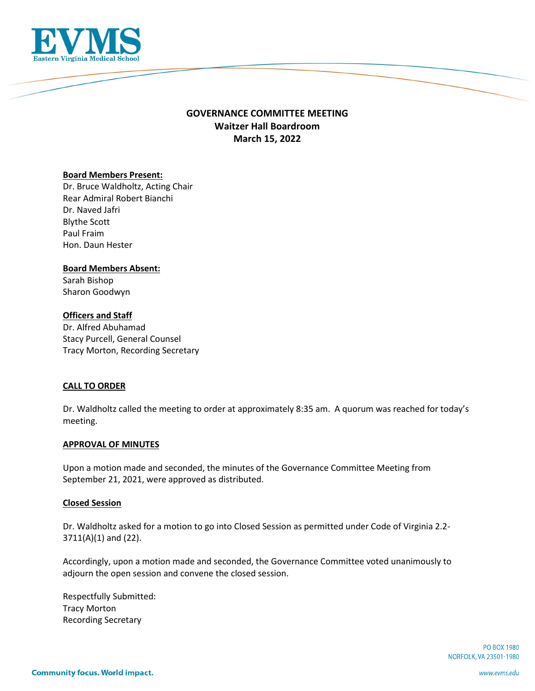

## **GOVERNANCE COMMITTEE MEETING Waitzer Hall Boardroom March 15, 2022**

## **Board Members Present:**

Dr. Bruce Waldholtz, Acting Chair Rear Admiral Robert Bianchi Dr. Naved Jafri Blythe Scott Paul Fraim Hon. Daun Hester

# **Board Members Absent:**

Sarah Bishop Sharon Goodwyn

## **Officers and Staff**

Dr. Alfred Abuhamad Stacy Purcell, General Counsel Tracy Morton, Recording Secretary

## **CALL TO ORDER**

Dr. Waldholtz called the meeting to order at approximately 8:35 am. A quorum was reached for today's meeting.

#### **APPROVAL OF MINUTES**

Upon a motion made and seconded, the minutes of the Governance Committee Meeting from September 21, 2021, were approved as distributed.

#### **Closed Session**

Dr. Waldholtz asked for a motion to go into Closed Session as permitted under Code of Virginia 2.2- 3711(A)(1) and (22).

Accordingly, upon a motion made and seconded, the Governance Committee voted unanimously to adjourn the open session and convene the closed session.

Respectfully Submitted: Tracy Morton Recording Secretary

> **PO BOX 1980** NORFOLK, VA 23501-1980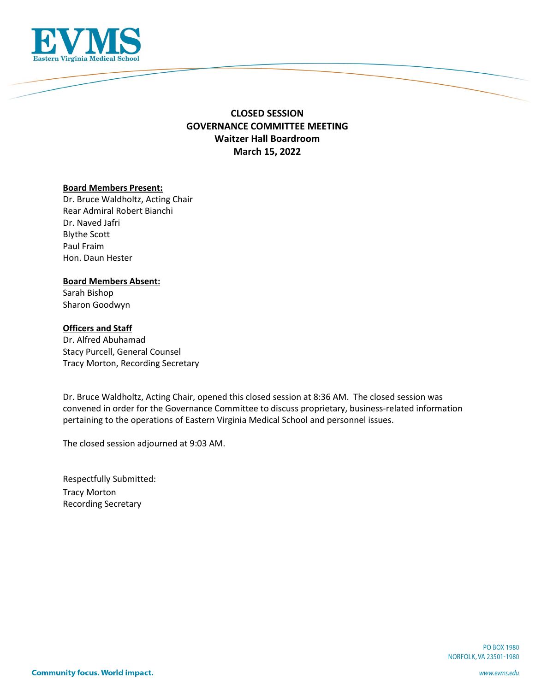

## **CLOSED SESSION GOVERNANCE COMMITTEE MEETING Waitzer Hall Boardroom March 15, 2022**

#### **Board Members Present:**

Dr. Bruce Waldholtz, Acting Chair Rear Admiral Robert Bianchi Dr. Naved Jafri Blythe Scott Paul Fraim Hon. Daun Hester

#### **Board Members Absent:**

Sarah Bishop Sharon Goodwyn

## **Officers and Staff**

Dr. Alfred Abuhamad Stacy Purcell, General Counsel Tracy Morton, Recording Secretary

Dr. Bruce Waldholtz, Acting Chair, opened this closed session at 8:36 AM. The closed session was convened in order for the Governance Committee to discuss proprietary, business-related information pertaining to the operations of Eastern Virginia Medical School and personnel issues.

The closed session adjourned at 9:03 AM.

Respectfully Submitted: Tracy Morton Recording Secretary

> **PO BOX 1980** NORFOLK, VA 23501-1980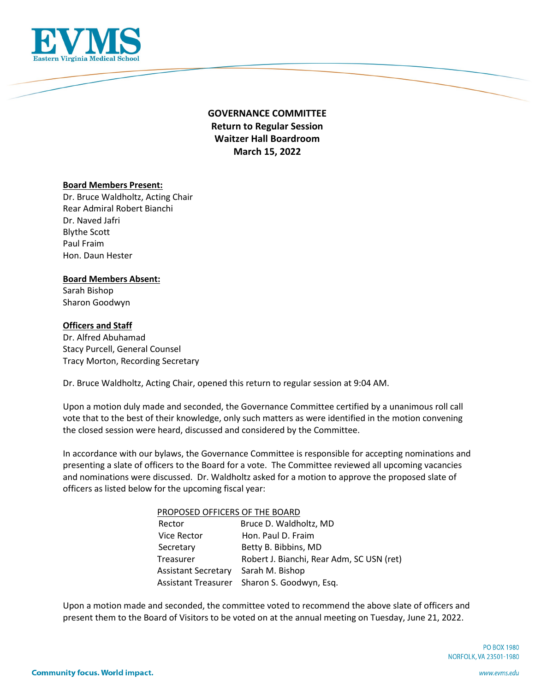

# **GOVERNANCE COMMITTEE Return to Regular Session Waitzer Hall Boardroom March 15, 2022**

#### **Board Members Present:**

Dr. Bruce Waldholtz, Acting Chair Rear Admiral Robert Bianchi Dr. Naved Jafri Blythe Scott Paul Fraim Hon. Daun Hester

## **Board Members Absent:**

Sarah Bishop Sharon Goodwyn

## **Officers and Staff**

Dr. Alfred Abuhamad Stacy Purcell, General Counsel Tracy Morton, Recording Secretary

Dr. Bruce Waldholtz, Acting Chair, opened this return to regular session at 9:04 AM.

Upon a motion duly made and seconded, the Governance Committee certified by a unanimous roll call vote that to the best of their knowledge, only such matters as were identified in the motion convening the closed session were heard, discussed and considered by the Committee.

In accordance with our bylaws, the Governance Committee is responsible for accepting nominations and presenting a slate of officers to the Board for a vote. The Committee reviewed all upcoming vacancies and nominations were discussed. Dr. Waldholtz asked for a motion to approve the proposed slate of officers as listed below for the upcoming fiscal year:

| PROPOSED OFFICERS OF THE BOARD |                                             |
|--------------------------------|---------------------------------------------|
| Rector                         | Bruce D. Waldholtz, MD                      |
| <b>Vice Rector</b>             | Hon. Paul D. Fraim                          |
| Secretary                      | Betty B. Bibbins, MD                        |
| Treasurer                      | Robert J. Bianchi, Rear Adm, SC USN (ret)   |
| <b>Assistant Secretary</b>     | Sarah M. Bishop                             |
|                                | Assistant Treasurer Sharon S. Goodwyn, Esq. |

Upon a motion made and seconded, the committee voted to recommend the above slate of officers and present them to the Board of Visitors to be voted on at the annual meeting on Tuesday, June 21, 2022.

> **PO BOX 1980** NORFOLK, VA 23501-1980